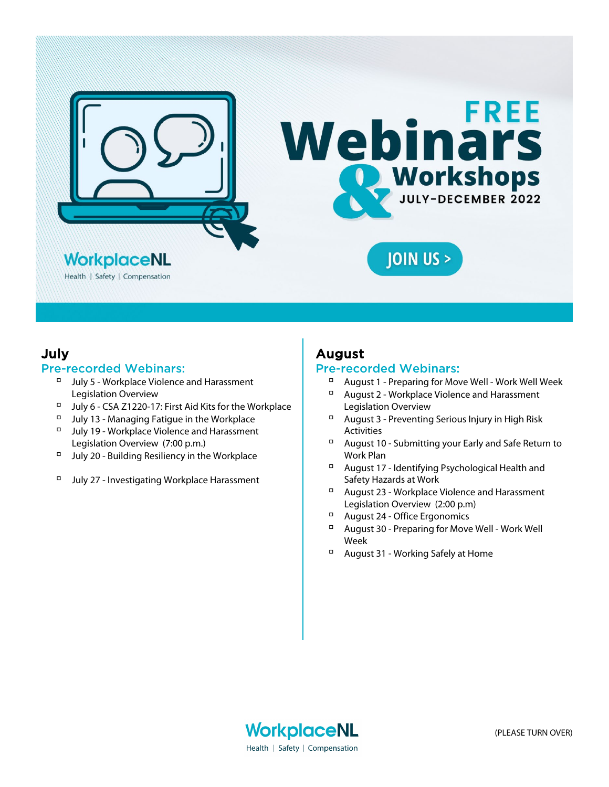

### July

### Pre-recorded Webinars:

- $\nabla$  July 5 Workplace Violence and Harassment Legislation Overview
- July 6 CSA Z1220-17: First Aid Kits for the Workplace
- $\Box$  July 13 Managing Fatigue in the Workplace
- $\nabla$  July 19 Workplace Violence and Harassment Legislation Overview (7:00 p.m.)
- $\Box$  July 20 Building Resiliency in the Workplace
- □ July 27 Investigating Workplace Harassment

# August

### Pre-recorded Webinars:

- August 1 Preparing for Move Well Work Well Week
- $\Box$  August 2 Workplace Violence and Harassment Legislation Overview
- $\Box$  August 3 Preventing Serious Injury in High Risk **Activities**
- August 10 Submitting your Early and Safe Return to Work Plan
- August 17 Identifying Psychological Health and Safety Hazards at Work
- <sup>D</sup> August 23 Workplace Violence and Harassment Legislation Overview (2:00 p.m)
- August 24 Office Ergonomics
- August 30 Preparing for Move Well Work Well Week
- August 31 Working Safely at Home